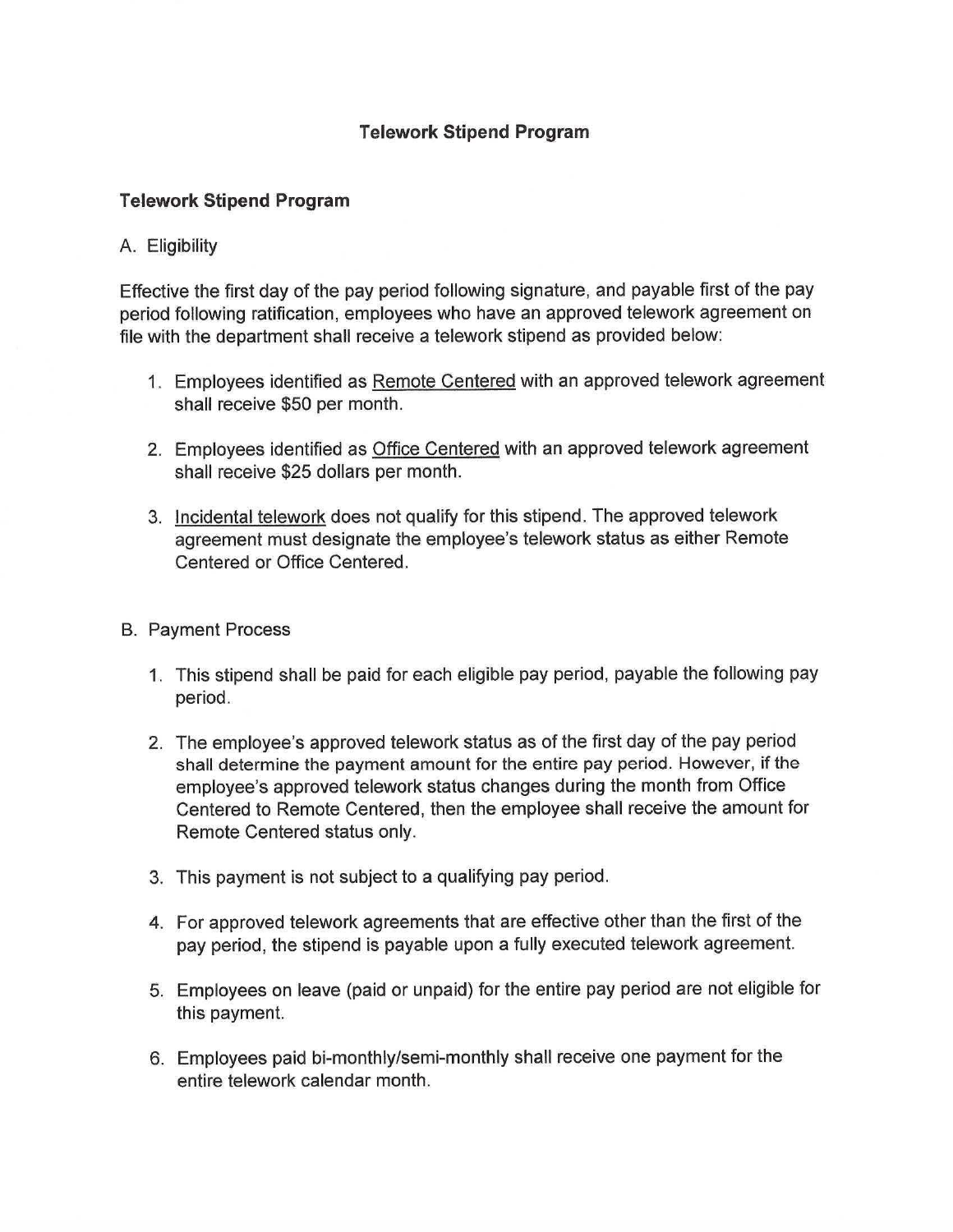## **Telework Stipend Program**

## **Telework Stipend Program**

## A. Eligibility

Effective the first day of the pay period following signature, and payable first of the pay period following ratification, employees who have an approved telework agreement on file with the department shall receive a telework stipend as provided below:

- 1. Employees identified as Remote Centered with an approved telework agreement shall receive \$50 per month.
- 2. Employees identified as Office Centered with an approved telework agreement shall receive \$25 dollars per month.
- 3. Incidental telework does not qualify for this stipend. The approved telework agreement must designate the employee's telework status as either Remote Centered or Office Centered.

## B. Payment Process

- 1. This stipend shall be paid for each eligible pay period, payable the following pay period.
- 2. The employee's approved telework status as of the first day of the pay period shall determine the payment amount for the entire pay period. However, if the employee's approved telework status changes during the month from Office Centered to Remote Centered, then the employee shall receive the amount for Remote Centered status only.
- 3. This payment is not subject to a qualifying pay period.
- 4. For approved telework agreements that are effective other than the first of the pay period, the stipend is payable upon a fully executed telework agreement.
- 5. Employees on leave (paid or unpaid) for the entire pay period are not eligible for this payment.
- 6. Employees paid bi-monthly/semi-monthly shall receive one payment for the entire telework calendar month.